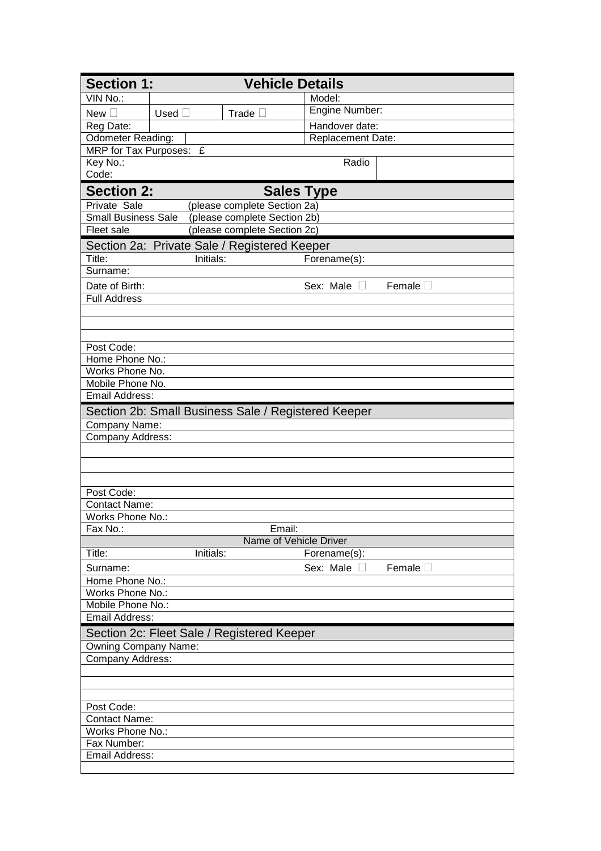| <b>Section 1:</b><br><b>Vehicle Details</b>                |                         |                                                     |                   |        |  |  |  |  |
|------------------------------------------------------------|-------------------------|-----------------------------------------------------|-------------------|--------|--|--|--|--|
| VIN No.                                                    |                         |                                                     | Model:            |        |  |  |  |  |
| <b>New</b>                                                 | Used                    | Trade                                               | Engine Number:    |        |  |  |  |  |
| Reg Date:                                                  |                         |                                                     | Handover date:    |        |  |  |  |  |
| <b>Odometer Reading:</b>                                   |                         |                                                     | Replacement Date: |        |  |  |  |  |
|                                                            | MRP for Tax Purposes: £ |                                                     |                   |        |  |  |  |  |
| Key No.:                                                   |                         |                                                     | Radio             |        |  |  |  |  |
| Code:                                                      |                         |                                                     |                   |        |  |  |  |  |
| <b>Section 2:</b>                                          |                         |                                                     | <b>Sales Type</b> |        |  |  |  |  |
| Private Sale                                               |                         | (please complete Section 2a)                        |                   |        |  |  |  |  |
| (please complete Section 2b)<br><b>Small Business Sale</b> |                         |                                                     |                   |        |  |  |  |  |
| Fleet sale                                                 |                         | (please complete Section 2c)                        |                   |        |  |  |  |  |
|                                                            |                         | Section 2a: Private Sale / Registered Keeper        |                   |        |  |  |  |  |
| Title:                                                     | Initials:               |                                                     | Forename(s):      |        |  |  |  |  |
| Surname:                                                   |                         |                                                     |                   |        |  |  |  |  |
| Date of Birth:                                             |                         |                                                     | Sex: Male         | Female |  |  |  |  |
| <b>Full Address</b>                                        |                         |                                                     |                   |        |  |  |  |  |
|                                                            |                         |                                                     |                   |        |  |  |  |  |
|                                                            |                         |                                                     |                   |        |  |  |  |  |
|                                                            |                         |                                                     |                   |        |  |  |  |  |
| Post Code:<br>Home Phone No.:                              |                         |                                                     |                   |        |  |  |  |  |
| Works Phone No.                                            |                         |                                                     |                   |        |  |  |  |  |
| Mobile Phone No.                                           |                         |                                                     |                   |        |  |  |  |  |
| <b>Email Address:</b>                                      |                         |                                                     |                   |        |  |  |  |  |
|                                                            |                         | Section 2b: Small Business Sale / Registered Keeper |                   |        |  |  |  |  |
| Company Name:                                              |                         |                                                     |                   |        |  |  |  |  |
| Company Address:                                           |                         |                                                     |                   |        |  |  |  |  |
|                                                            |                         |                                                     |                   |        |  |  |  |  |
|                                                            |                         |                                                     |                   |        |  |  |  |  |
|                                                            |                         |                                                     |                   |        |  |  |  |  |
| Post Code:                                                 |                         |                                                     |                   |        |  |  |  |  |
| Contact Name:                                              |                         |                                                     |                   |        |  |  |  |  |
| Works Phone No.:                                           |                         |                                                     |                   |        |  |  |  |  |
| Fax No.:                                                   |                         | Email:                                              |                   |        |  |  |  |  |
|                                                            |                         | Name of Vehicle Driver                              |                   |        |  |  |  |  |
| Title:                                                     | Initials:               |                                                     | Forename(s):      |        |  |  |  |  |
| Surname:                                                   |                         |                                                     | Sex: Male         | Female |  |  |  |  |
| Home Phone No.:                                            |                         |                                                     |                   |        |  |  |  |  |
| Works Phone No.:                                           |                         |                                                     |                   |        |  |  |  |  |
| Mobile Phone No.:                                          |                         |                                                     |                   |        |  |  |  |  |
| Email Address:                                             |                         |                                                     |                   |        |  |  |  |  |
| Section 2c: Fleet Sale / Registered Keeper                 |                         |                                                     |                   |        |  |  |  |  |
| Owning Company Name:                                       |                         |                                                     |                   |        |  |  |  |  |
| Company Address:                                           |                         |                                                     |                   |        |  |  |  |  |
|                                                            |                         |                                                     |                   |        |  |  |  |  |
|                                                            |                         |                                                     |                   |        |  |  |  |  |
|                                                            |                         |                                                     |                   |        |  |  |  |  |
| Post Code:                                                 |                         |                                                     |                   |        |  |  |  |  |
| <b>Contact Name:</b><br>Works Phone No.:                   |                         |                                                     |                   |        |  |  |  |  |
| Fax Number:                                                |                         |                                                     |                   |        |  |  |  |  |
| Email Address:                                             |                         |                                                     |                   |        |  |  |  |  |
|                                                            |                         |                                                     |                   |        |  |  |  |  |